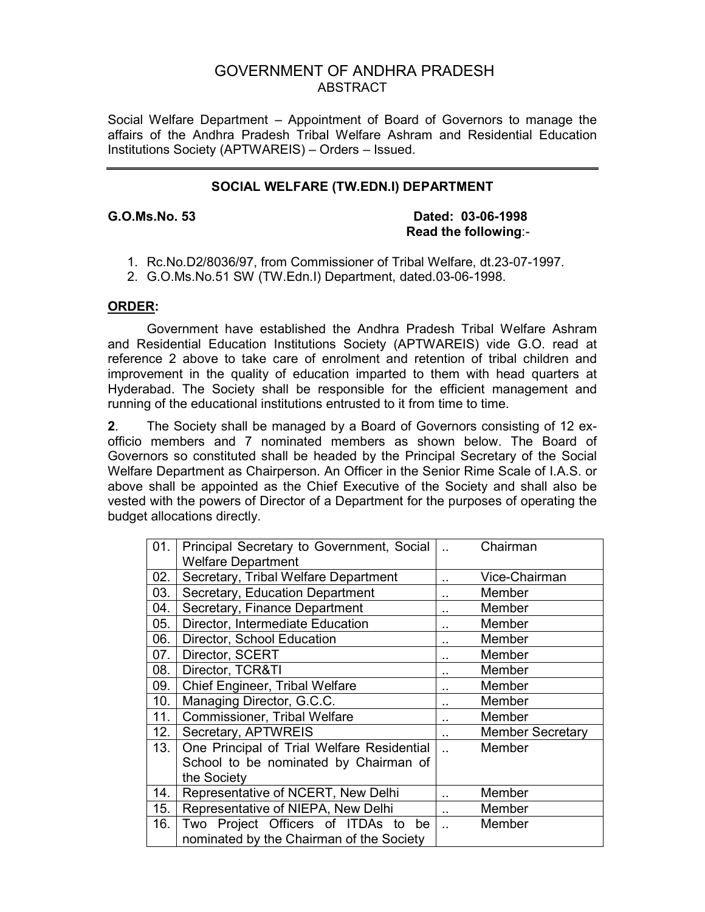# GOVERNMENT OF ANDHRA PRADESH ABSTRACT

Social Welfare Department – Appointment of Board of Governors to manage the affairs of the Andhra Pradesh Tribal Welfare Ashram and Residential Education Institutions Society (APTWAREIS) – Orders – Issued.

## **SOCIAL WELFARE (TW.EDN.I) DEPARTMENT**

### **G.O.Ms.No. 53 Dated: 03-06-1998 Read the following**:-

- 1. Rc.No.D2/8036/97, from Commissioner of Tribal Welfare, dt.23-07-1997.
- 2. G.O.Ms.No.51 SW (TW.Edn.I) Department, dated.03-06-1998.

### **ORDER:**

 Government have established the Andhra Pradesh Tribal Welfare Ashram and Residential Education Institutions Society (APTWAREIS) vide G.O. read at reference 2 above to take care of enrolment and retention of tribal children and improvement in the quality of education imparted to them with head quarters at Hyderabad. The Society shall be responsible for the efficient management and running of the educational institutions entrusted to it from time to time.

**2**. The Society shall be managed by a Board of Governors consisting of 12 exofficio members and 7 nominated members as shown below. The Board of Governors so constituted shall be headed by the Principal Secretary of the Social Welfare Department as Chairperson. An Officer in the Senior Rime Scale of I.A.S. or above shall be appointed as the Chief Executive of the Society and shall also be vested with the powers of Director of a Department for the purposes of operating the budget allocations directly.

| 01. | Principal Secretary to Government, Social  |                      | Chairman                |
|-----|--------------------------------------------|----------------------|-------------------------|
|     | <b>Welfare Department</b>                  |                      |                         |
| 02. | Secretary, Tribal Welfare Department       |                      | Vice-Chairman           |
| 03. | Secretary, Education Department            |                      | Member                  |
| 04. | Secretary, Finance Department              |                      | Member                  |
| 05. | Director, Intermediate Education           |                      | Member                  |
| 06. | Director, School Education                 |                      | Member                  |
| 07. | Director, SCERT                            |                      | Member                  |
| 08. | Director, TCR&TI                           |                      | Member                  |
| 09. | Chief Engineer, Tribal Welfare             |                      | Member                  |
| 10. | Managing Director, G.C.C.                  | $\ddot{\phantom{a}}$ | Member                  |
| 11. | <b>Commissioner, Tribal Welfare</b>        |                      | Member                  |
| 12. | Secretary, APTWREIS                        |                      | <b>Member Secretary</b> |
| 13. | One Principal of Trial Welfare Residential |                      | Member                  |
|     | School to be nominated by Chairman of      |                      |                         |
|     | the Society                                |                      |                         |
| 14. | Representative of NCERT, New Delhi         |                      | Member                  |
| 15. | Representative of NIEPA, New Delhi         | ۰.                   | Member                  |
| 16. | Two Project Officers of ITDAs to<br>be     |                      | Member                  |
|     | nominated by the Chairman of the Society   |                      |                         |